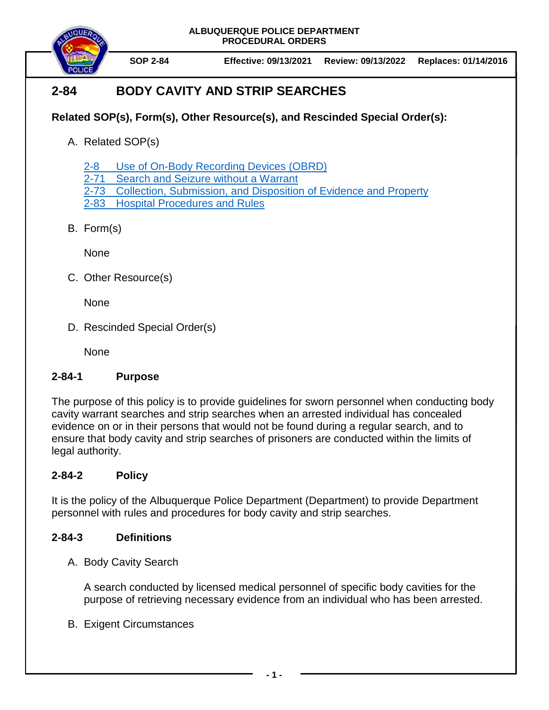**ALBUQUERQUE POLICE DEPARTMENT PROCEDURAL ORDERS**



**SOP 2-84 Effective: 09/13/2021 Review: 09/13/2022 Replaces: 01/14/2016**

# **2-84 BODY CAVITY AND STRIP SEARCHES**

## **Related SOP(s), Form(s), Other Resource(s), and Rescinded Special Order(s):**

A. Related SOP(s)

2-8 [Use of On-Body Recording Devices \(OBRD\)](https://powerdms.com/docs/1137)

2-71 [Search and Seizure without a Warrant](https://powerdms.com/docs/100)

2-73 [Collection, Submission, and Disposition of Evidence and Property](https://powerdms.com/docs/88)

2-83 [Hospital Procedures and Rules](https://powerdms.com/docs/93)

B. Form(s)

None

C. Other Resource(s)

None

D. Rescinded Special Order(s)

None

## **2-84-1 Purpose**

The purpose of this policy is to provide guidelines for sworn personnel when conducting body cavity warrant searches and strip searches when an arrested individual has concealed evidence on or in their persons that would not be found during a regular search, and to ensure that body cavity and strip searches of prisoners are conducted within the limits of legal authority.

## **2-84-2 Policy**

It is the policy of the Albuquerque Police Department (Department) to provide Department personnel with rules and procedures for body cavity and strip searches.

## **2-84-3 Definitions**

A. Body Cavity Search

A search conducted by licensed medical personnel of specific body cavities for the purpose of retrieving necessary evidence from an individual who has been arrested.

B. Exigent Circumstances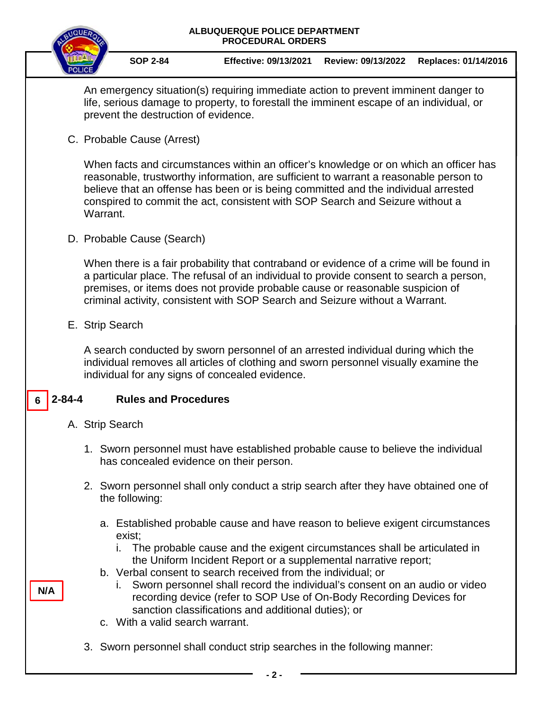| ALBUQUERQUE POLICE DEPARTMENT<br><b>PROCEDURAL ORDERS</b>                                                                                                                                                                                                                                                                                                                                       |                                                                                                                                                                                                                                                                                                                                                      |                                                                                                                                                                                                                             |  |                                       |                                                                                                                                                                                                                                                                                                                                                                                                                         |                    |                      |
|-------------------------------------------------------------------------------------------------------------------------------------------------------------------------------------------------------------------------------------------------------------------------------------------------------------------------------------------------------------------------------------------------|------------------------------------------------------------------------------------------------------------------------------------------------------------------------------------------------------------------------------------------------------------------------------------------------------------------------------------------------------|-----------------------------------------------------------------------------------------------------------------------------------------------------------------------------------------------------------------------------|--|---------------------------------------|-------------------------------------------------------------------------------------------------------------------------------------------------------------------------------------------------------------------------------------------------------------------------------------------------------------------------------------------------------------------------------------------------------------------------|--------------------|----------------------|
|                                                                                                                                                                                                                                                                                                                                                                                                 |                                                                                                                                                                                                                                                                                                                                                      |                                                                                                                                                                                                                             |  | <b>SOP 2-84</b>                       | <b>Effective: 09/13/2021</b>                                                                                                                                                                                                                                                                                                                                                                                            | Review: 09/13/2022 | Replaces: 01/14/2016 |
|                                                                                                                                                                                                                                                                                                                                                                                                 |                                                                                                                                                                                                                                                                                                                                                      | An emergency situation(s) requiring immediate action to prevent imminent danger to<br>life, serious damage to property, to forestall the imminent escape of an individual, or<br>prevent the destruction of evidence.       |  |                                       |                                                                                                                                                                                                                                                                                                                                                                                                                         |                    |                      |
|                                                                                                                                                                                                                                                                                                                                                                                                 | C. Probable Cause (Arrest)                                                                                                                                                                                                                                                                                                                           |                                                                                                                                                                                                                             |  |                                       |                                                                                                                                                                                                                                                                                                                                                                                                                         |                    |                      |
| When facts and circumstances within an officer's knowledge or on which an officer has<br>reasonable, trustworthy information, are sufficient to warrant a reasonable person to<br>believe that an offense has been or is being committed and the individual arrested<br>conspired to commit the act, consistent with SOP Search and Seizure without a<br>Warrant.<br>D. Probable Cause (Search) |                                                                                                                                                                                                                                                                                                                                                      |                                                                                                                                                                                                                             |  |                                       |                                                                                                                                                                                                                                                                                                                                                                                                                         |                    |                      |
|                                                                                                                                                                                                                                                                                                                                                                                                 |                                                                                                                                                                                                                                                                                                                                                      |                                                                                                                                                                                                                             |  |                                       |                                                                                                                                                                                                                                                                                                                                                                                                                         |                    |                      |
|                                                                                                                                                                                                                                                                                                                                                                                                 | When there is a fair probability that contraband or evidence of a crime will be found in<br>a particular place. The refusal of an individual to provide consent to search a person,<br>premises, or items does not provide probable cause or reasonable suspicion of<br>criminal activity, consistent with SOP Search and Seizure without a Warrant. |                                                                                                                                                                                                                             |  |                                       |                                                                                                                                                                                                                                                                                                                                                                                                                         |                    |                      |
|                                                                                                                                                                                                                                                                                                                                                                                                 |                                                                                                                                                                                                                                                                                                                                                      | E. Strip Search                                                                                                                                                                                                             |  |                                       |                                                                                                                                                                                                                                                                                                                                                                                                                         |                    |                      |
|                                                                                                                                                                                                                                                                                                                                                                                                 |                                                                                                                                                                                                                                                                                                                                                      | A search conducted by sworn personnel of an arrested individual during which the<br>individual removes all articles of clothing and sworn personnel visually examine the<br>individual for any signs of concealed evidence. |  |                                       |                                                                                                                                                                                                                                                                                                                                                                                                                         |                    |                      |
|                                                                                                                                                                                                                                                                                                                                                                                                 | 2-84-4                                                                                                                                                                                                                                                                                                                                               |                                                                                                                                                                                                                             |  | <b>Rules and Procedures</b>           |                                                                                                                                                                                                                                                                                                                                                                                                                         |                    |                      |
| A. Strip Search                                                                                                                                                                                                                                                                                                                                                                                 |                                                                                                                                                                                                                                                                                                                                                      |                                                                                                                                                                                                                             |  |                                       |                                                                                                                                                                                                                                                                                                                                                                                                                         |                    |                      |
|                                                                                                                                                                                                                                                                                                                                                                                                 |                                                                                                                                                                                                                                                                                                                                                      |                                                                                                                                                                                                                             |  |                                       | 1. Sworn personnel must have established probable cause to believe the individual<br>has concealed evidence on their person.                                                                                                                                                                                                                                                                                            |                    |                      |
|                                                                                                                                                                                                                                                                                                                                                                                                 |                                                                                                                                                                                                                                                                                                                                                      |                                                                                                                                                                                                                             |  | the following:                        | 2. Sworn personnel shall only conduct a strip search after they have obtained one of                                                                                                                                                                                                                                                                                                                                    |                    |                      |
|                                                                                                                                                                                                                                                                                                                                                                                                 |                                                                                                                                                                                                                                                                                                                                                      |                                                                                                                                                                                                                             |  | exist;                                | a. Established probable cause and have reason to believe exigent circumstances                                                                                                                                                                                                                                                                                                                                          |                    |                      |
|                                                                                                                                                                                                                                                                                                                                                                                                 | N/A                                                                                                                                                                                                                                                                                                                                                  |                                                                                                                                                                                                                             |  | İ.<br>c. With a valid search warrant. | The probable cause and the exigent circumstances shall be articulated in<br>the Uniform Incident Report or a supplemental narrative report;<br>b. Verbal consent to search received from the individual; or<br>Sworn personnel shall record the individual's consent on an audio or video<br>recording device (refer to SOP Use of On-Body Recording Devices for<br>sanction classifications and additional duties); or |                    |                      |
|                                                                                                                                                                                                                                                                                                                                                                                                 |                                                                                                                                                                                                                                                                                                                                                      |                                                                                                                                                                                                                             |  |                                       | 3. Sworn personnel shall conduct strip searches in the following manner:                                                                                                                                                                                                                                                                                                                                                |                    |                      |

**- 2 -**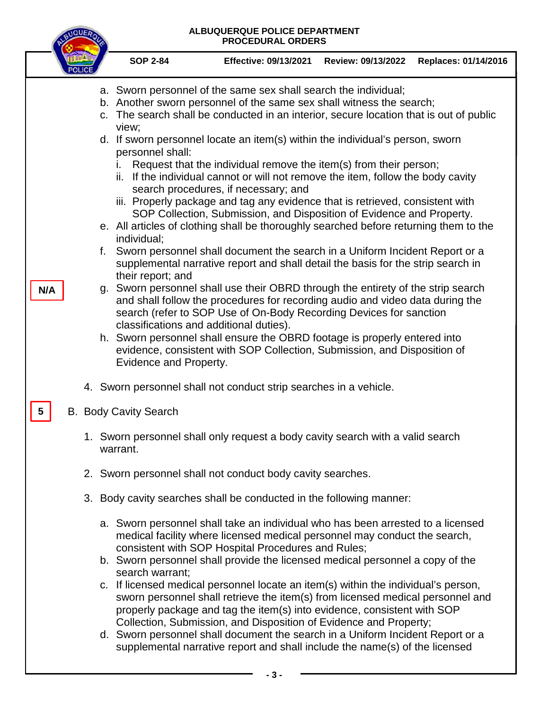### **ALBUQUERQUE POLICE DEPARTMENT PROCEDURAL ORDERS**